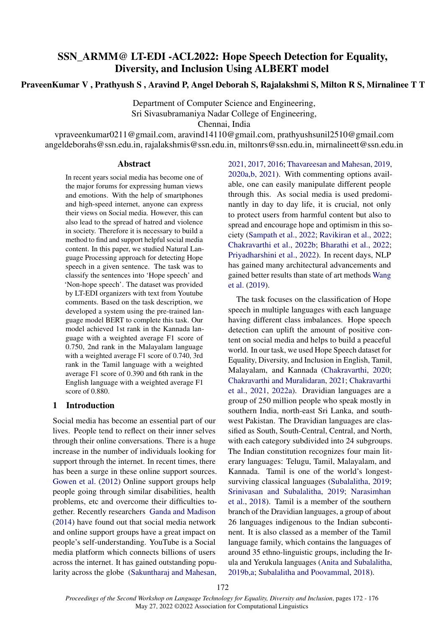# SSN\_ARMM@ LT-EDI -ACL2022: Hope Speech Detection for Equality, Diversity, and Inclusion Using ALBERT model

# PraveenKumar V , Prathyush S , Aravind P, Angel Deborah S, Rajalakshmi S, Milton R S, Mirnalinee T T

Department of Computer Science and Engineering, Sri Sivasubramaniya Nadar College of Engineering, Chennai, India

vpraveenkumar0211@gmail.com, aravind14110@gmail.com, prathyushsunil2510@gmail.com angeldeborahs@ssn.edu.in, rajalakshmis@ssn.edu.in, miltonrs@ssn.edu.in, mirnalineett@ssn.edu.in

#### Abstract

In recent years social media has become one of the major forums for expressing human views and emotions. With the help of smartphones and high-speed internet, anyone can express their views on Social media. However, this can also lead to the spread of hatred and violence in society. Therefore it is necessary to build a method to find and support helpful social media content. In this paper, we studied Natural Language Processing approach for detecting Hope speech in a given sentence. The task was to classify the sentences into 'Hope speech' and 'Non-hope speech'. The dataset was provided by LT-EDI organizers with text from Youtube comments. Based on the task description, we developed a system using the pre-trained language model BERT to complete this task. Our model achieved 1st rank in the Kannada language with a weighted average F1 score of 0.750, 2nd rank in the Malayalam language with a weighted average F1 score of 0.740, 3rd rank in the Tamil language with a weighted average F1 score of 0.390 and 6th rank in the English language with a weighted average F1 score of 0.880.

## 1 Introduction

Social media has become an essential part of our lives. People tend to reflect on their inner selves through their online conversations. There is a huge increase in the number of individuals looking for support through the internet. In recent times, there has been a surge in these online support sources. [Gowen et al.](#page-3-0) [\(2012\)](#page-3-0) Online support groups help people going through similar disabilities, health problems, etc and overcome their difficulties together. Recently researchers [Ganda and Madison](#page-3-1) [\(2014\)](#page-3-1) have found out that social media network and online support groups have a great impact on people's self-understanding. YouTube is a Social media platform which connects billions of users across the internet. It has gained outstanding popularity across the globe [\(Sakuntharaj and Mahesan,](#page-4-0) [2021,](#page-4-0) [2017,](#page-4-1) [2016;](#page-4-2) [Thavareesan and Mahesan,](#page-4-3) [2019,](#page-4-3) [2020a](#page-4-4)[,b,](#page-4-5) [2021\)](#page-4-6). With commenting options available, one can easily manipulate different people through this. As social media is used predominantly in day to day life, it is crucial, not only to protect users from harmful content but also to spread and encourage hope and optimism in this society [\(Sampath et al.,](#page-4-7) [2022;](#page-4-7) [Ravikiran et al.,](#page-4-8) [2022;](#page-4-8) [Chakravarthi et al.,](#page-3-2) [2022b;](#page-3-2) [Bharathi et al.,](#page-3-3) [2022;](#page-3-3) [Priyadharshini et al.,](#page-3-4) [2022\)](#page-3-4). In recent days, NLP has gained many architectural advancements and gained better results than state of art methods [Wang](#page-4-9) [et al.](#page-4-9) [\(2019\)](#page-4-9).

The task focuses on the classification of Hope speech in multiple languages with each language having different class imbalances. Hope speech detection can uplift the amount of positive content on social media and helps to build a peaceful world. In our task, we used Hope Speech dataset for Equality, Diversity, and Inclusion in English, Tamil, Malayalam, and Kannada [\(Chakravarthi,](#page-3-5) [2020;](#page-3-5) [Chakravarthi and Muralidaran,](#page-3-6) [2021;](#page-3-6) [Chakravarthi](#page-3-7) [et al.,](#page-3-7) [2021,](#page-3-7) [2022a\)](#page-3-8). Dravidian languages are a group of 250 million people who speak mostly in southern India, north-east Sri Lanka, and southwest Pakistan. The Dravidian languages are classified as South, South-Central, Central, and North, with each category subdivided into 24 subgroups. The Indian constitution recognizes four main literary languages: Telugu, Tamil, Malayalam, and Kannada. Tamil is one of the world's longestsurviving classical languages [\(Subalalitha,](#page-4-10) [2019;](#page-4-10) [Srinivasan and Subalalitha,](#page-4-11) [2019;](#page-4-11) [Narasimhan](#page-3-9) [et al.,](#page-3-9) [2018\)](#page-3-9). Tamil is a member of the southern branch of the Dravidian languages, a group of about 26 languages indigenous to the Indian subcontinent. It is also classed as a member of the Tamil language family, which contains the languages of around 35 ethno-linguistic groups, including the Irula and Yerukula languages [\(Anita and Subalalitha,](#page-3-10) [2019b](#page-3-10)[,a;](#page-3-11) [Subalalitha and Poovammal,](#page-4-12) [2018\)](#page-4-12).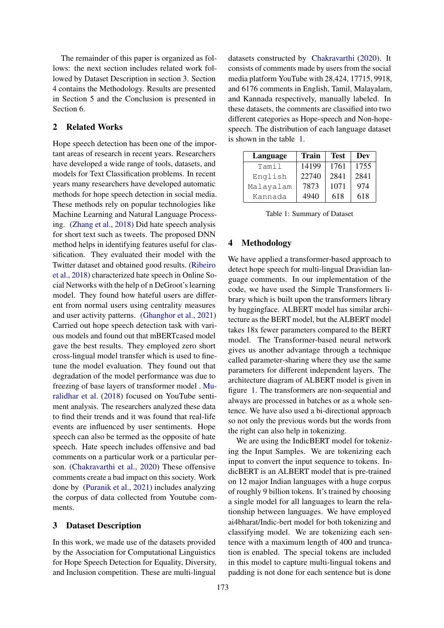The remainder of this paper is organized as follows: the next section includes related work followed by Dataset Description in section 3. Section 4 contains the Methodology. Results are presented in Section 5 and the Conclusion is presented in Section 6.

#### 2 Related Works

Hope speech detection has been one of the important areas of research in recent years. Researchers have developed a wide range of tools, datasets, and models for Text Classification problems. In recent years many researchers have developed automatic methods for hope speech detection in social media. These methods rely on popular technologies like Machine Learning and Natural Language Processing. [\(Zhang et al.,](#page-4-13) [2018\)](#page-4-13) Did hate speech analysis for short text such as tweets. The proposed DNN method helps in identifying features useful for classification. They evaluated their model with the Twitter dataset and obtained good results. [\(Ribeiro](#page-4-14) [et al.,](#page-4-14) [2018\)](#page-4-14) characterized hate speech in Online Social Networks with the help of n DeGroot's learning model. They found how hateful users are different from normal users using centrality measures and user activity patterns. [\(Ghanghor et al.,](#page-3-12) [2021\)](#page-3-12) Carried out hope speech detection task with various models and found out that mBERTcased model gave the best results. They employed zero short cross-lingual model transfer which is used to finetune the model evaluation. They found out that degradation of the model performance was due to freezing of base layers of transformer model . [Mu](#page-3-13)[ralidhar et al.](#page-3-13) [\(2018\)](#page-3-13) focused on YouTube sentiment analysis. The researchers analyzed these data to find their trends and it was found that real-life events are influenced by user sentiments. Hope speech can also be termed as the opposite of hate speech. Hate speech includes offensive and bad comments on a particular work or a particular person. [\(Chakravarthi et al.,](#page-3-14) [2020\)](#page-3-14) These offensive comments create a bad impact on this society. Work done by [\(Puranik et al.,](#page-4-15) [2021\)](#page-4-15) includes analyzing the corpus of data collected from Youtube comments.

## 3 Dataset Description

In this work, we made use of the datasets provided by the Association for Computational Linguistics for Hope Speech Detection for Equality, Diversity, and Inclusion competition. These are multi-lingual datasets constructed by [Chakravarthi](#page-3-5) [\(2020\)](#page-3-5). It consists of comments made by users from the social media platform YouTube with 28,424, 17715, 9918, and 6176 comments in English, Tamil, Malayalam, and Kannada respectively, manually labeled. In these datasets, the comments are classified into two different categories as Hope-speech and Non-hopespeech. The distribution of each language dataset is shown in the table [1.](#page-1-0)

<span id="page-1-0"></span>

| Language  | Train | <b>Test</b> | Dev  |
|-----------|-------|-------------|------|
| Tamil     | 14199 | 1761        | 1755 |
| English   | 22740 | 2841        | 2841 |
| Malayalam | 7873  | 1071        | 974  |
| Kannada   | 4940  | 618         | 618  |

Table 1: Summary of Dataset

# 4 Methodology

We have applied a transformer-based approach to detect hope speech for multi-lingual Dravidian language comments. In our implementation of the code, we have used the Simple Transformers library which is built upon the transformers library by huggingface. ALBERT model has similar architecture as the BERT model, but the ALBERT model takes 18x fewer parameters compared to the BERT model. The Transformer-based neural network gives us another advantage through a technique called parameter-sharing where they use the same parameters for different independent layers. The architecture diagram of ALBERT model is given in figure [1.](#page-2-0) The transformers are non-sequential and always are processed in batches or as a whole sentence. We have also used a bi-directional approach so not only the previous words but the words from the right can also help in tokenizing.

We are using the IndicBERT model for tokenizing the Input Samples. We are tokenizing each input to convert the input sequence to tokens. IndicBERT is an ALBERT model that is pre-trained on 12 major Indian languages with a huge corpus of roughly 9 billion tokens. It's trained by choosing a single model for all languages to learn the relationship between languages. We have employed ai4bharat/Indic-bert model for both tokenizing and classifying model. We are tokenizing each sentence with a maximum length of 400 and truncation is enabled. The special tokens are included in this model to capture multi-lingual tokens and padding is not done for each sentence but is done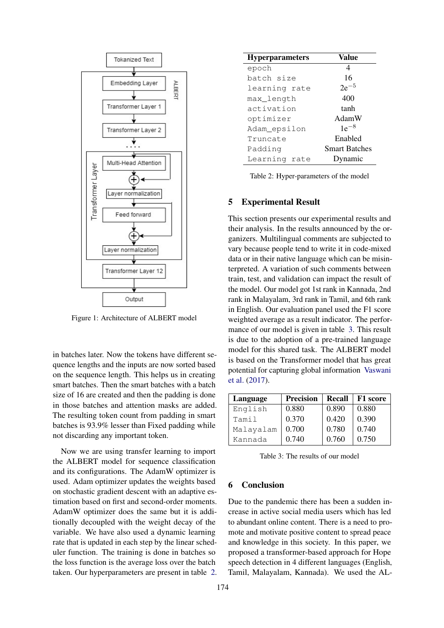<span id="page-2-0"></span>

Figure 1: Architecture of ALBERT model

in batches later. Now the tokens have different sequence lengths and the inputs are now sorted based on the sequence length. This helps us in creating smart batches. Then the smart batches with a batch size of 16 are created and then the padding is done in those batches and attention masks are added. The resulting token count from padding in smart batches is 93.9% lesser than Fixed padding while not discarding any important token.

Now we are using transfer learning to import the ALBERT model for sequence classification and its configurations. The AdamW optimizer is used. Adam optimizer updates the weights based on stochastic gradient descent with an adaptive estimation based on first and second-order moments. AdamW optimizer does the same but it is additionally decoupled with the weight decay of the variable. We have also used a dynamic learning rate that is updated in each step by the linear scheduler function. The training is done in batches so the loss function is the average loss over the batch taken. Our hyperparameters are present in table [2.](#page-2-1)

<span id="page-2-1"></span>

| <b>Hyperparameters</b> | Value                |  |
|------------------------|----------------------|--|
| epoch                  | 4                    |  |
| batch size             | 16                   |  |
| learning rate          | $2e^{-5}$            |  |
| max_length             | 400                  |  |
| activation             | tanh                 |  |
| optimizer              | AdamW                |  |
| Adam_epsilon           | $1e^{-8}$            |  |
| Truncate               | Enabled              |  |
| Padding                | <b>Smart Batches</b> |  |
| Learning rate          | Dynamic              |  |

Table 2: Hyper-parameters of the model

## 5 Experimental Result

This section presents our experimental results and their analysis. In the results announced by the organizers. Multilingual comments are subjected to vary because people tend to write it in code-mixed data or in their native language which can be misinterpreted. A variation of such comments between train, test, and validation can impact the result of the model. Our model got 1st rank in Kannada, 2nd rank in Malayalam, 3rd rank in Tamil, and 6th rank in English. Our evaluation panel used the F1 score weighted average as a result indicator. The performance of our model is given in table [3.](#page-2-2) This result is due to the adoption of a pre-trained language model for this shared task. The ALBERT model is based on the Transformer model that has great potential for capturing global information [Vaswani](#page-4-16) [et al.](#page-4-16) [\(2017\)](#page-4-16).

<span id="page-2-2"></span>

| Language  | <b>Precision</b> | Recall | F1 score |
|-----------|------------------|--------|----------|
| English   | 0.880            | 0.890  | 0.880    |
| Tamil     | 0.370            | 0.420  | 0.390    |
| Malayalam | 0.700            | 0.780  | 0.740    |
| Kannada   | 0.740            | 0.760  | 0.750    |

Table 3: The results of our model

#### 6 Conclusion

Due to the pandemic there has been a sudden increase in active social media users which has led to abundant online content. There is a need to promote and motivate positive content to spread peace and knowledge in this society. In this paper, we proposed a transformer-based approach for Hope speech detection in 4 different languages (English, Tamil, Malayalam, Kannada). We used the AL-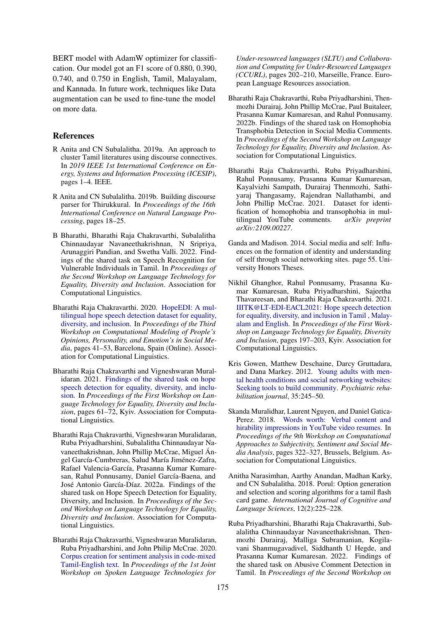BERT model with AdamW optimizer for classification. Our model got an F1 score of 0.880, 0.390, 0.740, and 0.750 in English, Tamil, Malayalam, and Kannada. In future work, techniques like Data augmentation can be used to fine-tune the model on more data.

## References

- <span id="page-3-11"></span>R Anita and CN Subalalitha. 2019a. An approach to cluster Tamil literatures using discourse connectives. In *2019 IEEE 1st International Conference on Energy, Systems and Information Processing (ICESIP)*, pages 1–4. IEEE.
- <span id="page-3-10"></span>R Anita and CN Subalalitha. 2019b. Building discourse parser for Thirukkural. In *Proceedings of the 16th International Conference on Natural Language Processing*, pages 18–25.
- <span id="page-3-3"></span>B Bharathi, Bharathi Raja Chakravarthi, Subalalitha Chinnaudayar Navaneethakrishnan, N Sripriya, Arunaggiri Pandian, and Swetha Valli. 2022. Findings of the shared task on Speech Recognition for Vulnerable Individuals in Tamil. In *Proceedings of the Second Workshop on Language Technology for Equality, Diversity and Inclusion*. Association for Computational Linguistics.
- <span id="page-3-5"></span>Bharathi Raja Chakravarthi. 2020. [HopeEDI: A mul](https://aclanthology.org/2020.peoples-1.5)[tilingual hope speech detection dataset for equality,](https://aclanthology.org/2020.peoples-1.5) [diversity, and inclusion.](https://aclanthology.org/2020.peoples-1.5) In *Proceedings of the Third Workshop on Computational Modeling of People's Opinions, Personality, and Emotion's in Social Media*, pages 41–53, Barcelona, Spain (Online). Association for Computational Linguistics.
- <span id="page-3-6"></span>Bharathi Raja Chakravarthi and Vigneshwaran Muralidaran. 2021. [Findings of the shared task on hope](https://aclanthology.org/2021.ltedi-1.8) [speech detection for equality, diversity, and inclu](https://aclanthology.org/2021.ltedi-1.8)[sion.](https://aclanthology.org/2021.ltedi-1.8) In *Proceedings of the First Workshop on Language Technology for Equality, Diversity and Inclusion*, pages 61–72, Kyiv. Association for Computational Linguistics.
- <span id="page-3-8"></span>Bharathi Raja Chakravarthi, Vigneshwaran Muralidaran, Ruba Priyadharshini, Subalalitha Chinnaudayar Navaneethakrishnan, John Phillip McCrae, Miguel Ángel García-Cumbreras, Salud María Jiménez-Zafra, Rafael Valencia-García, Prasanna Kumar Kumaresan, Rahul Ponnusamy, Daniel García-Baena, and José Antonio García-Díaz. 2022a. Findings of the shared task on Hope Speech Detection for Equality, Diversity, and Inclusion. In *Proceedings of the Second Workshop on Language Technology for Equality, Diversity and Inclusion*. Association for Computational Linguistics.
- <span id="page-3-14"></span>Bharathi Raja Chakravarthi, Vigneshwaran Muralidaran, Ruba Priyadharshini, and John Philip McCrae. 2020. [Corpus creation for sentiment analysis in code-mixed](https://aclanthology.org/2020.sltu-1.28) [Tamil-English text.](https://aclanthology.org/2020.sltu-1.28) In *Proceedings of the 1st Joint Workshop on Spoken Language Technologies for*

*Under-resourced languages (SLTU) and Collaboration and Computing for Under-Resourced Languages (CCURL)*, pages 202–210, Marseille, France. European Language Resources association.

- <span id="page-3-2"></span>Bharathi Raja Chakravarthi, Ruba Priyadharshini, Thenmozhi Durairaj, John Phillip McCrae, Paul Buitaleer, Prasanna Kumar Kumaresan, and Rahul Ponnusamy. 2022b. Findings of the shared task on Homophobia Transphobia Detection in Social Media Comments. In *Proceedings of the Second Workshop on Language Technology for Equality, Diversity and Inclusion*. Association for Computational Linguistics.
- <span id="page-3-7"></span>Bharathi Raja Chakravarthi, Ruba Priyadharshini, Rahul Ponnusamy, Prasanna Kumar Kumaresan, Kayalvizhi Sampath, Durairaj Thenmozhi, Sathiyaraj Thangasamy, Rajendran Nallathambi, and John Phillip McCrae. 2021. Dataset for identification of homophobia and transophobia in multilingual YouTube comments. *arXiv preprint arXiv:2109.00227*.
- <span id="page-3-1"></span>Ganda and Madison. 2014. Social media and self: Influences on the formation of identity and understanding of self through social networking sites. page 55. University Honors Theses.
- <span id="page-3-12"></span>Nikhil Ghanghor, Rahul Ponnusamy, Prasanna Kumar Kumaresan, Ruba Priyadharshini, Sajeetha Thavareesan, and Bharathi Raja Chakravarthi. 2021. [IIITK@LT-EDI-EACL2021: Hope speech detection](https://aclanthology.org/2021.ltedi-1.30) [for equality, diversity, and inclusion in Tamil , Malay](https://aclanthology.org/2021.ltedi-1.30)[alam and English.](https://aclanthology.org/2021.ltedi-1.30) In *Proceedings of the First Workshop on Language Technology for Equality, Diversity and Inclusion*, pages 197–203, Kyiv. Association for Computational Linguistics.
- <span id="page-3-0"></span>Kris Gowen, Matthew Deschaine, Darcy Gruttadara, and Dana Markey. 2012. [Young adults with men](https://doi.org/10.2975/35.3.2012.245.250)[tal health conditions and social networking websites:](https://doi.org/10.2975/35.3.2012.245.250) [Seeking tools to build community.](https://doi.org/10.2975/35.3.2012.245.250) *Psychiatric rehabilitation journal*, 35:245–50.
- <span id="page-3-13"></span>Skanda Muralidhar, Laurent Nguyen, and Daniel Gatica-Perez. 2018. [Words worth: Verbal content and](https://doi.org/10.18653/v1/W18-6247) [hirability impressions in YouTube video resumes.](https://doi.org/10.18653/v1/W18-6247) In *Proceedings of the 9th Workshop on Computational Approaches to Subjectivity, Sentiment and Social Media Analysis*, pages 322–327, Brussels, Belgium. Association for Computational Linguistics.
- <span id="page-3-9"></span>Anitha Narasimhan, Aarthy Anandan, Madhan Karky, and CN Subalalitha. 2018. Porul: Option generation and selection and scoring algorithms for a tamil flash card game. *International Journal of Cognitive and Language Sciences*, 12(2):225–228.
- <span id="page-3-4"></span>Ruba Priyadharshini, Bharathi Raja Chakravarthi, Subalalitha Chinnaudayar Navaneethakrishnan, Thenmozhi Durairaj, Malliga Subramanian, Kogilavani Shanmugavadivel, Siddhanth U Hegde, and Prasanna Kumar Kumaresan. 2022. Findings of the shared task on Abusive Comment Detection in Tamil. In *Proceedings of the Second Workshop on*